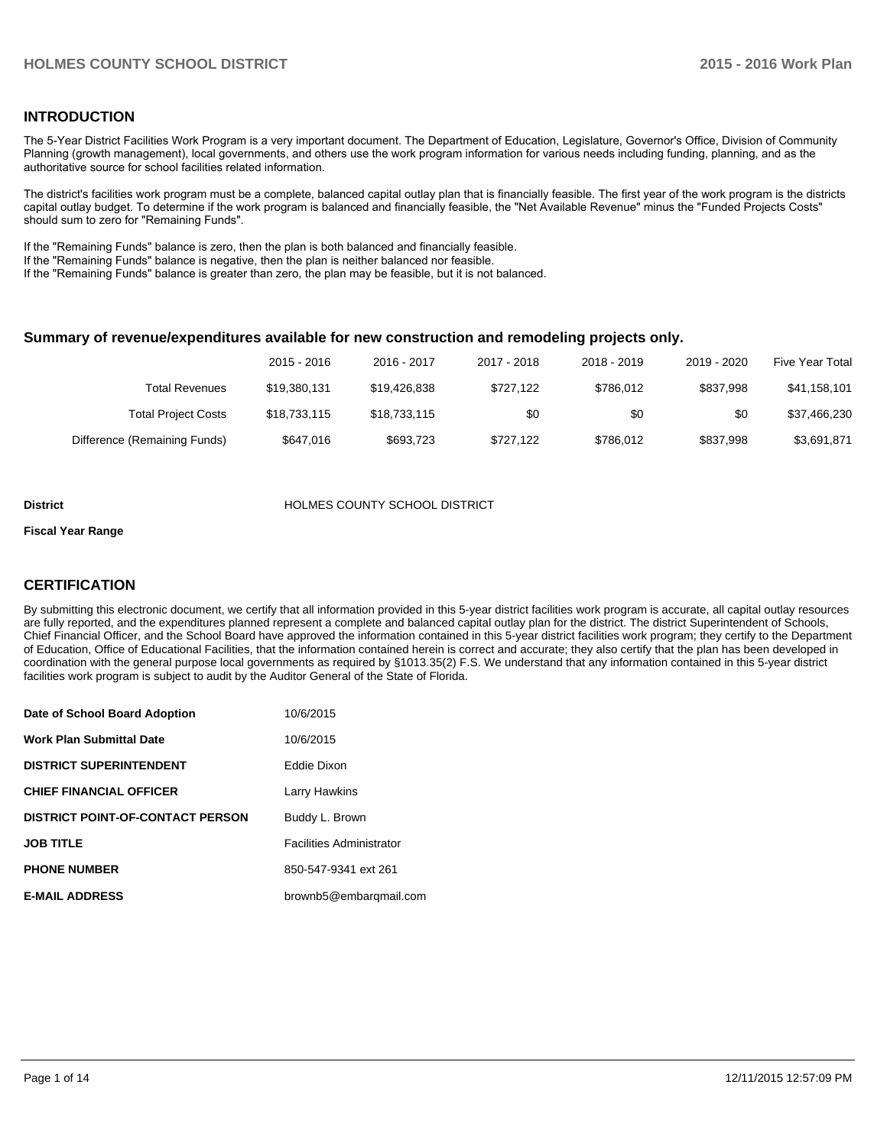# **INTRODUCTION**

The 5-Year District Facilities Work Program is a very important document. The Department of Education, Legislature, Governor's Office, Division of Community Planning (growth management), local governments, and others use the work program information for various needs including funding, planning, and as the authoritative source for school facilities related information.

The district's facilities work program must be a complete, balanced capital outlay plan that is financially feasible. The first year of the work program is the districts capital outlay budget. To determine if the work program is balanced and financially feasible, the "Net Available Revenue" minus the "Funded Projects Costs" should sum to zero for "Remaining Funds".

If the "Remaining Funds" balance is zero, then the plan is both balanced and financially feasible.

If the "Remaining Funds" balance is negative, then the plan is neither balanced nor feasible.

If the "Remaining Funds" balance is greater than zero, the plan may be feasible, but it is not balanced.

#### **Summary of revenue/expenditures available for new construction and remodeling projects only.**

|                              | 2015 - 2016  | 2016 - 2017  | 2017 - 2018 | 2018 - 2019 | 2019 - 2020 | Five Year Total |
|------------------------------|--------------|--------------|-------------|-------------|-------------|-----------------|
| Total Revenues               | \$19,380,131 | \$19,426,838 | \$727.122   | \$786.012   | \$837.998   | \$41,158,101    |
| <b>Total Project Costs</b>   | \$18,733,115 | \$18,733,115 | \$0         | \$0         | \$0         | \$37,466,230    |
| Difference (Remaining Funds) | \$647.016    | \$693,723    | \$727.122   | \$786.012   | \$837.998   | \$3,691,871     |

#### **District COUNTY SCHOOL DISTRICT**

#### **Fiscal Year Range**

# **CERTIFICATION**

By submitting this electronic document, we certify that all information provided in this 5-year district facilities work program is accurate, all capital outlay resources are fully reported, and the expenditures planned represent a complete and balanced capital outlay plan for the district. The district Superintendent of Schools, Chief Financial Officer, and the School Board have approved the information contained in this 5-year district facilities work program; they certify to the Department of Education, Office of Educational Facilities, that the information contained herein is correct and accurate; they also certify that the plan has been developed in coordination with the general purpose local governments as required by §1013.35(2) F.S. We understand that any information contained in this 5-year district facilities work program is subject to audit by the Auditor General of the State of Florida.

| Date of School Board Adoption           | 10/6/2015                       |
|-----------------------------------------|---------------------------------|
| <b>Work Plan Submittal Date</b>         | 10/6/2015                       |
| <b>DISTRICT SUPERINTENDENT</b>          | Eddie Dixon                     |
| <b>CHIEF FINANCIAL OFFICER</b>          | Larry Hawkins                   |
| <b>DISTRICT POINT-OF-CONTACT PERSON</b> | Buddy L. Brown                  |
| <b>JOB TITLE</b>                        | <b>Facilities Administrator</b> |
| <b>PHONE NUMBER</b>                     | 850-547-9341 ext 261            |
| <b>E-MAIL ADDRESS</b>                   | brownb5@embarqmail.com          |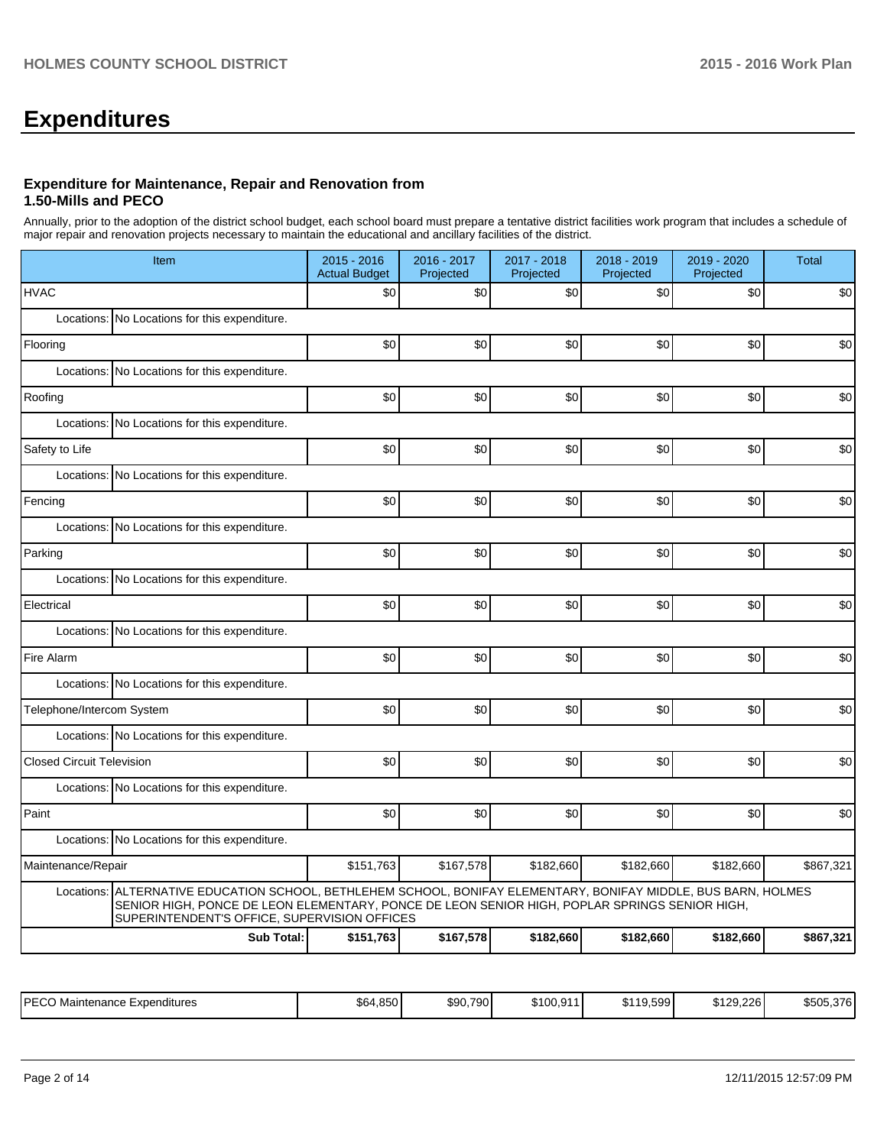# **Expenditures**

## **Expenditure for Maintenance, Repair and Renovation from 1.50-Mills and PECO**

Annually, prior to the adoption of the district school budget, each school board must prepare a tentative district facilities work program that includes a schedule of major repair and renovation projects necessary to maintain the educational and ancillary facilities of the district.

| Item                                                                                                                                                                                                                                                                | 2015 - 2016<br><b>Actual Budget</b> | 2016 - 2017<br>Projected | 2017 - 2018<br>Projected | 2018 - 2019<br>Projected | 2019 - 2020<br>Projected | <b>Total</b> |  |  |  |
|---------------------------------------------------------------------------------------------------------------------------------------------------------------------------------------------------------------------------------------------------------------------|-------------------------------------|--------------------------|--------------------------|--------------------------|--------------------------|--------------|--|--|--|
| <b>HVAC</b>                                                                                                                                                                                                                                                         | \$0                                 | \$0                      | \$0                      | \$0                      | \$0                      | \$0          |  |  |  |
| Locations: No Locations for this expenditure.                                                                                                                                                                                                                       |                                     |                          |                          |                          |                          |              |  |  |  |
| Flooring                                                                                                                                                                                                                                                            | \$0                                 | \$0                      | \$0                      | \$0                      | \$0                      | \$0          |  |  |  |
| Locations: No Locations for this expenditure.                                                                                                                                                                                                                       |                                     |                          |                          |                          |                          |              |  |  |  |
| Roofing                                                                                                                                                                                                                                                             | \$0                                 | \$0                      | \$0                      | \$0                      | \$0                      | \$0          |  |  |  |
| Locations:<br>No Locations for this expenditure.                                                                                                                                                                                                                    |                                     |                          |                          |                          |                          |              |  |  |  |
| Safety to Life                                                                                                                                                                                                                                                      | \$0                                 | \$0                      | \$0                      | \$0                      | \$0                      | \$0          |  |  |  |
| Locations: No Locations for this expenditure.                                                                                                                                                                                                                       |                                     |                          |                          |                          |                          |              |  |  |  |
| Fencing                                                                                                                                                                                                                                                             | \$0                                 | \$0                      | \$0                      | \$0                      | \$0                      | \$0          |  |  |  |
| No Locations for this expenditure.<br>Locations:                                                                                                                                                                                                                    |                                     |                          |                          |                          |                          |              |  |  |  |
| Parking                                                                                                                                                                                                                                                             | \$0                                 | \$0                      | \$0                      | \$0                      | \$0                      | \$0          |  |  |  |
| Locations: No Locations for this expenditure.                                                                                                                                                                                                                       |                                     |                          |                          |                          |                          |              |  |  |  |
| Electrical                                                                                                                                                                                                                                                          | \$0                                 | \$0                      | \$0                      | \$0                      | \$0                      | \$0          |  |  |  |
| Locations:<br>No Locations for this expenditure.                                                                                                                                                                                                                    |                                     |                          |                          |                          |                          |              |  |  |  |
| Fire Alarm                                                                                                                                                                                                                                                          | \$0                                 | \$0                      | \$0                      | \$0                      | \$0                      | \$0          |  |  |  |
| Locations: No Locations for this expenditure.                                                                                                                                                                                                                       |                                     |                          |                          |                          |                          |              |  |  |  |
| Telephone/Intercom System                                                                                                                                                                                                                                           | \$0                                 | \$0                      | \$0                      | \$0                      | \$0                      | \$0          |  |  |  |
| Locations: No Locations for this expenditure.                                                                                                                                                                                                                       |                                     |                          |                          |                          |                          |              |  |  |  |
| <b>Closed Circuit Television</b>                                                                                                                                                                                                                                    | \$0                                 | \$0                      | \$0                      | \$0                      | \$0                      | \$0          |  |  |  |
| Locations: No Locations for this expenditure.                                                                                                                                                                                                                       |                                     |                          |                          |                          |                          |              |  |  |  |
| Paint                                                                                                                                                                                                                                                               | \$0                                 | \$0                      | \$0                      | \$0                      | \$0                      | \$0          |  |  |  |
| Locations: No Locations for this expenditure.                                                                                                                                                                                                                       |                                     |                          |                          |                          |                          |              |  |  |  |
| Maintenance/Repair                                                                                                                                                                                                                                                  | \$151,763                           | \$167,578                | \$182,660                | \$182,660                | \$182,660                | \$867,321    |  |  |  |
| ALTERNATIVE EDUCATION SCHOOL, BETHLEHEM SCHOOL, BONIFAY ELEMENTARY, BONIFAY MIDDLE, BUS BARN, HOLMES<br>Locations:<br>SENIOR HIGH, PONCE DE LEON ELEMENTARY, PONCE DE LEON SENIOR HIGH, POPLAR SPRINGS SENIOR HIGH,<br>SUPERINTENDENT'S OFFICE, SUPERVISION OFFICES |                                     |                          |                          |                          |                          |              |  |  |  |
| <b>Sub Total:</b>                                                                                                                                                                                                                                                   | \$151.763                           | \$167,578                | \$182,660                | \$182,660                | \$182,660                | \$867,321    |  |  |  |

| IPFCO<br>Maintenance<br>Expenditures<br>∟∪∪ | \$64.850 | \$90.790<br>1 JU | \$100.911 | \$119.599 | \$129.226 | \$505,376 |
|---------------------------------------------|----------|------------------|-----------|-----------|-----------|-----------|
|---------------------------------------------|----------|------------------|-----------|-----------|-----------|-----------|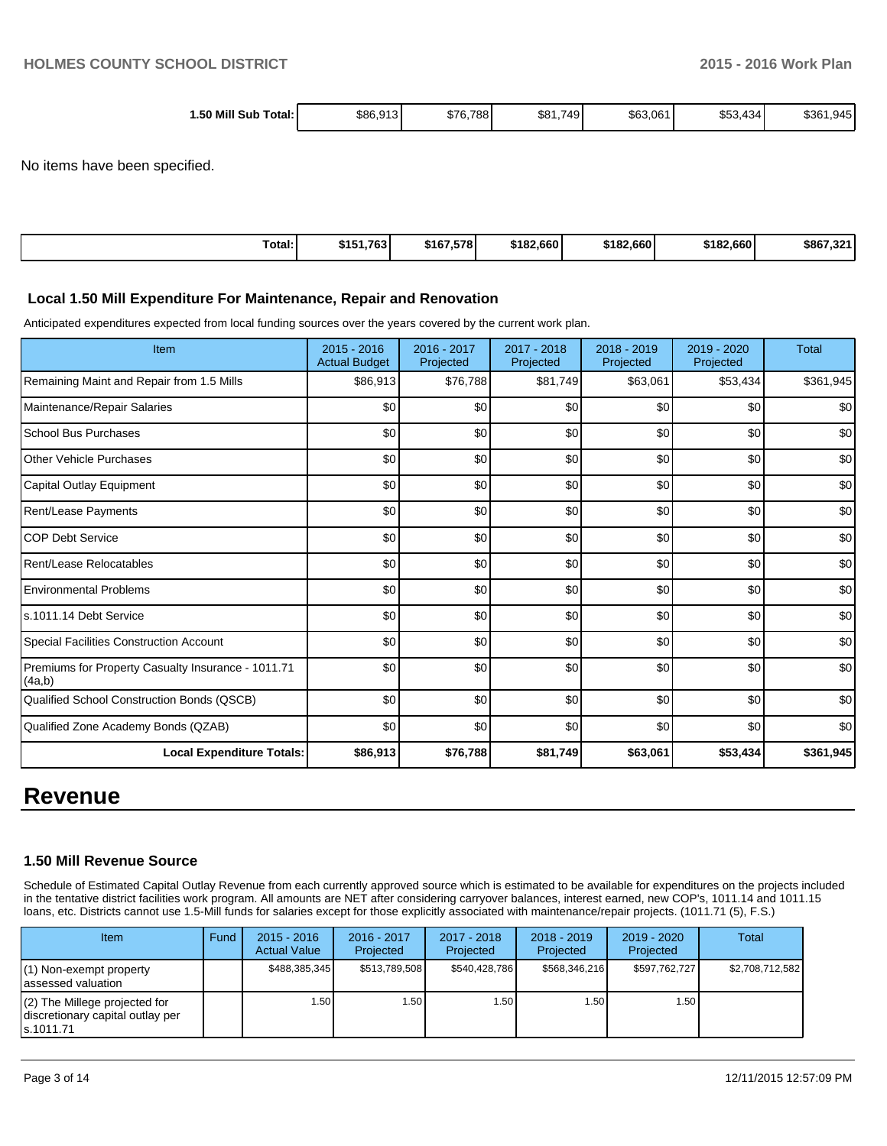| 1.50 Mill Sub |          |                   | $-10$         |          | 650<br>$\sim$ |                  |
|---------------|----------|-------------------|---------------|----------|---------------|------------------|
| ⊺otal: I      | \$86,913 | 788<br>.մ/Ի<br>υ. | \$81.7<br>749 | \$63,061 | .434<br>ახა.  | ا 945.،<br>\$361 |

No items have been specified.

| Total: | \$151.<br>.763 | \$167.578 | \$182,660 | \$182,660 | \$182,660 | \$867<br><b>AAA</b> |
|--------|----------------|-----------|-----------|-----------|-----------|---------------------|
|--------|----------------|-----------|-----------|-----------|-----------|---------------------|

### **Local 1.50 Mill Expenditure For Maintenance, Repair and Renovation**

Anticipated expenditures expected from local funding sources over the years covered by the current work plan.

| Item                                                         | $2015 - 2016$<br><b>Actual Budget</b> | 2016 - 2017<br>Projected | 2017 - 2018<br>Projected | 2018 - 2019<br>Projected | 2019 - 2020<br>Projected | <b>Total</b> |
|--------------------------------------------------------------|---------------------------------------|--------------------------|--------------------------|--------------------------|--------------------------|--------------|
| Remaining Maint and Repair from 1.5 Mills                    | \$86,913                              | \$76,788                 | \$81,749                 | \$63,061                 | \$53,434                 | \$361,945    |
| Maintenance/Repair Salaries                                  | \$0                                   | \$0                      | \$0                      | \$0                      | \$0                      | \$0          |
| <b>School Bus Purchases</b>                                  | \$0                                   | \$0                      | \$0                      | \$0                      | \$0                      | \$0          |
| <b>Other Vehicle Purchases</b>                               | \$0                                   | \$0                      | \$0                      | \$0                      | \$0                      | \$0          |
| Capital Outlay Equipment                                     | \$0                                   | \$0                      | \$0                      | \$0                      | \$0                      | \$0          |
| Rent/Lease Payments                                          | \$0                                   | \$0                      | \$0                      | \$0                      | \$0                      | \$0          |
| <b>COP Debt Service</b>                                      | \$0                                   | \$0                      | \$0                      | \$0                      | \$0                      | \$0          |
| Rent/Lease Relocatables                                      | \$0                                   | \$0                      | \$0                      | \$0                      | \$0                      | \$0          |
| <b>Environmental Problems</b>                                | \$0                                   | \$0                      | \$0                      | \$0                      | \$0                      | \$0          |
| ls.1011.14 Debt Service                                      | \$0                                   | \$0                      | \$0                      | \$0                      | \$0                      | \$0          |
| Special Facilities Construction Account                      | \$0                                   | \$0                      | \$0                      | \$0                      | \$0                      | \$0          |
| Premiums for Property Casualty Insurance - 1011.71<br>(4a,b) | \$0                                   | \$0                      | \$0                      | \$0                      | \$0                      | \$0          |
| Qualified School Construction Bonds (QSCB)                   | \$0                                   | \$0                      | \$0                      | \$0                      | \$0                      | \$0          |
| Qualified Zone Academy Bonds (QZAB)                          | \$0                                   | \$0                      | \$0                      | \$0                      | \$0                      | \$0          |
| <b>Local Expenditure Totals:</b>                             | \$86,913                              | \$76,788                 | \$81,749                 | \$63,061                 | \$53,434                 | \$361,945    |

# **Revenue**

# **1.50 Mill Revenue Source**

Schedule of Estimated Capital Outlay Revenue from each currently approved source which is estimated to be available for expenditures on the projects included in the tentative district facilities work program. All amounts are NET after considering carryover balances, interest earned, new COP's, 1011.14 and 1011.15 loans, etc. Districts cannot use 1.5-Mill funds for salaries except for those explicitly associated with maintenance/repair projects. (1011.71 (5), F.S.)

| <b>Item</b>                                                                     | Fund | $2015 - 2016$<br><b>Actual Value</b> | 2016 - 2017<br>Projected | 2017 - 2018<br>Projected | $2018 - 2019$<br>Projected | $2019 - 2020$<br>Projected | Total           |
|---------------------------------------------------------------------------------|------|--------------------------------------|--------------------------|--------------------------|----------------------------|----------------------------|-----------------|
| (1) Non-exempt property<br>lassessed valuation                                  |      | \$488,385,345                        | \$513.789.508            | \$540.428.786            | \$568.346.216              | \$597.762.727              | \$2,708,712,582 |
| (2) The Millege projected for<br>discretionary capital outlay per<br>ls.1011.71 |      | 1.50 l                               | l.50 l                   | 1.50                     | 1.50                       | 1.50                       |                 |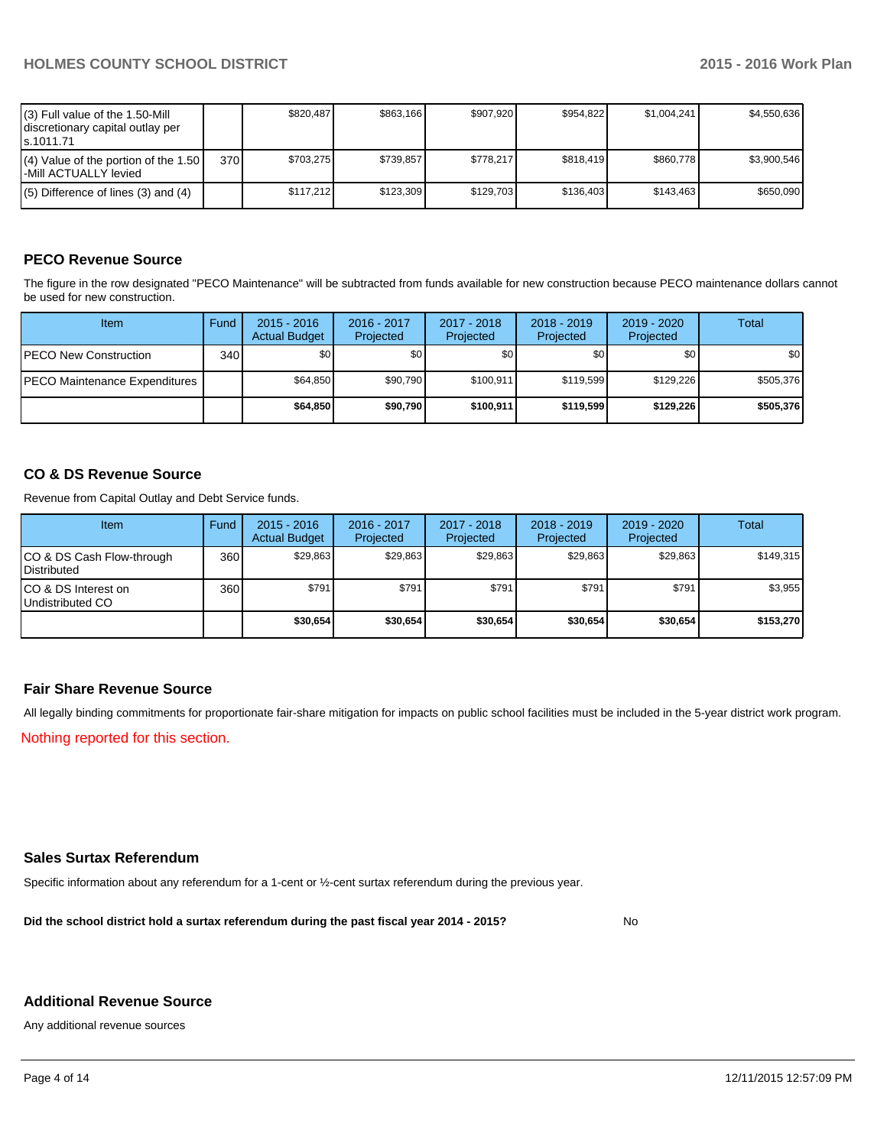| $(3)$ Full value of the 1.50-Mill<br>discretionary capital outlay per<br>ls.1011.71 |     | \$820.487 | \$863.166 | \$907.920 | \$954.822 | \$1.004.241 | \$4.550.636 |
|-------------------------------------------------------------------------------------|-----|-----------|-----------|-----------|-----------|-------------|-------------|
| $(4)$ Value of the portion of the 1.50<br>I-Mill ACTUALLY levied                    | 370 | \$703.275 | \$739.857 | \$778.217 | \$818.419 | \$860.778   | \$3.900.546 |
| $(5)$ Difference of lines (3) and (4)                                               |     | \$117.212 | \$123.309 | \$129.703 | \$136.403 | \$143.463   | \$650.090   |

# **PECO Revenue Source**

The figure in the row designated "PECO Maintenance" will be subtracted from funds available for new construction because PECO maintenance dollars cannot be used for new construction.

| Item                                  | Fund  | $2015 - 2016$<br><b>Actual Budget</b> | 2016 - 2017<br>Projected | 2017 - 2018<br>Projected | $2018 - 2019$<br>Projected | $2019 - 2020$<br>Projected | Total     |
|---------------------------------------|-------|---------------------------------------|--------------------------|--------------------------|----------------------------|----------------------------|-----------|
| <b>PECO New Construction</b>          | 340 l | \$0 <sub>1</sub>                      | \$0                      | \$0 <sub>1</sub>         | \$0 <sub>0</sub>           | \$0                        | \$0       |
| <b>IPECO Maintenance Expenditures</b> |       | \$64.850                              | \$90.790                 | \$100.911                | \$119.599                  | \$129.226                  | \$505,376 |
|                                       |       | \$64.850                              | \$90,790                 | \$100.911                | \$119,599                  | \$129.226                  | \$505,376 |

# **CO & DS Revenue Source**

Revenue from Capital Outlay and Debt Service funds.

| Item                                               | Fund | $2015 - 2016$<br><b>Actual Budget</b> | 2016 - 2017<br>Projected | $2017 - 2018$<br>Projected | $2018 - 2019$<br>Projected | $2019 - 2020$<br>Projected | Total     |
|----------------------------------------------------|------|---------------------------------------|--------------------------|----------------------------|----------------------------|----------------------------|-----------|
| ICO & DS Cash Flow-through<br><b>I</b> Distributed | 360  | \$29.863                              | \$29,863                 | \$29.863                   | \$29.863                   | \$29.863                   | \$149,315 |
| ICO & DS Interest on<br>Undistributed CO           | 360  | \$791                                 | \$791                    | \$791                      | \$791                      | \$791                      | \$3,955   |
|                                                    |      | \$30,654                              | \$30.654                 | \$30,654                   | \$30,654                   | \$30.654                   | \$153,270 |

# **Fair Share Revenue Source**

All legally binding commitments for proportionate fair-share mitigation for impacts on public school facilities must be included in the 5-year district work program.

Nothing reported for this section.

# **Sales Surtax Referendum**

Specific information about any referendum for a 1-cent or ½-cent surtax referendum during the previous year.

**Did the school district hold a surtax referendum during the past fiscal year 2014 - 2015?**

No

## **Additional Revenue Source**

Any additional revenue sources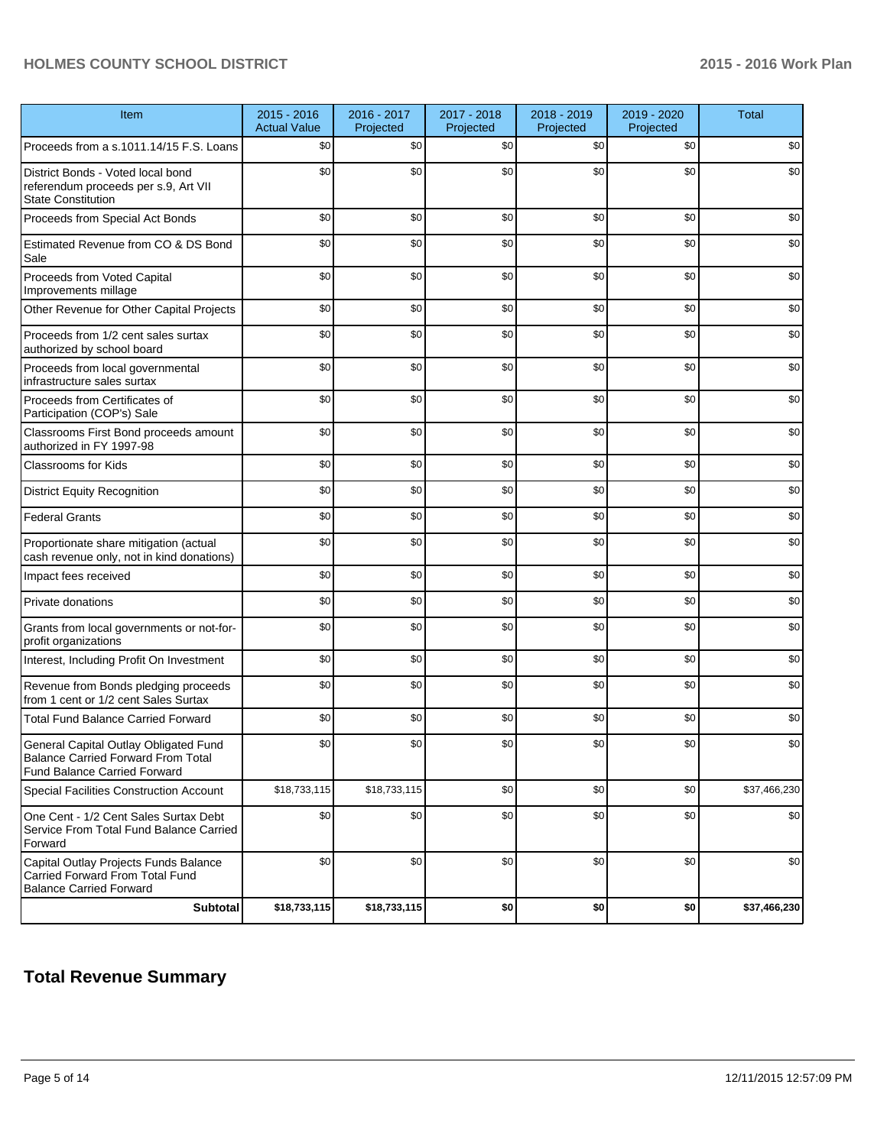# **HOLMES COUNTY SCHOOL DISTRICT 2015 - 2016 Work Plan**

| Item                                                                                                                      | $2015 - 2016$<br><b>Actual Value</b> | 2016 - 2017<br>Projected | 2017 - 2018<br>Projected | 2018 - 2019<br>Projected | 2019 - 2020<br>Projected | <b>Total</b> |
|---------------------------------------------------------------------------------------------------------------------------|--------------------------------------|--------------------------|--------------------------|--------------------------|--------------------------|--------------|
| Proceeds from a s.1011.14/15 F.S. Loans                                                                                   | \$0                                  | \$0                      | \$0                      | \$0                      | \$0                      | \$0          |
| District Bonds - Voted local bond<br>referendum proceeds per s.9, Art VII<br><b>State Constitution</b>                    | \$0                                  | \$0                      | \$0                      | \$0                      | \$0                      | \$0          |
| Proceeds from Special Act Bonds                                                                                           | \$0                                  | \$0                      | \$0                      | \$0                      | \$0                      | \$0          |
| Estimated Revenue from CO & DS Bond<br>Sale                                                                               | \$0                                  | \$0                      | \$0                      | \$0                      | \$0                      | \$0          |
| Proceeds from Voted Capital<br>Improvements millage                                                                       | \$0                                  | \$0                      | \$0                      | \$0                      | \$0                      | \$0          |
| Other Revenue for Other Capital Projects                                                                                  | \$0                                  | \$0                      | \$0                      | \$0                      | \$0                      | \$0          |
| Proceeds from 1/2 cent sales surtax<br>authorized by school board                                                         | \$0                                  | \$0                      | \$0                      | \$0                      | \$0                      | \$0          |
| Proceeds from local governmental<br>infrastructure sales surtax                                                           | \$0                                  | \$0                      | \$0                      | \$0                      | \$0                      | \$0          |
| Proceeds from Certificates of<br>Participation (COP's) Sale                                                               | \$0                                  | \$0                      | \$0                      | \$0                      | \$0                      | \$0          |
| Classrooms First Bond proceeds amount<br>authorized in FY 1997-98                                                         | \$0                                  | \$0                      | \$0                      | \$0                      | \$0                      | \$0          |
| <b>Classrooms for Kids</b>                                                                                                | \$0                                  | \$0                      | \$0                      | \$0                      | \$0                      | \$0          |
| <b>District Equity Recognition</b>                                                                                        | \$0                                  | \$0                      | \$0                      | \$0                      | \$0                      | \$0          |
| <b>Federal Grants</b>                                                                                                     | \$0                                  | \$0                      | \$0                      | \$0                      | \$0                      | \$0          |
| Proportionate share mitigation (actual<br>cash revenue only, not in kind donations)                                       | \$0                                  | \$0                      | \$0                      | \$0                      | \$0                      | \$0          |
| Impact fees received                                                                                                      | \$0                                  | \$0                      | \$0                      | \$0                      | \$0                      | \$0          |
| Private donations                                                                                                         | \$0                                  | \$0                      | \$0                      | \$0                      | \$0                      | \$0          |
| Grants from local governments or not-for-<br>profit organizations                                                         | \$0                                  | \$0                      | \$0                      | \$0                      | \$0                      | \$0          |
| Interest, Including Profit On Investment                                                                                  | \$0                                  | \$0                      | \$0                      | \$0                      | \$0                      | \$0          |
| Revenue from Bonds pledging proceeds<br>from 1 cent or 1/2 cent Sales Surtax                                              | \$0                                  | \$0                      | \$0                      | \$0                      | \$0                      | \$0          |
| <b>Total Fund Balance Carried Forward</b>                                                                                 | \$0                                  | \$0                      | \$0                      | \$0                      | \$0                      | \$0          |
| General Capital Outlay Obligated Fund<br><b>Balance Carried Forward From Total</b><br><b>Fund Balance Carried Forward</b> | \$0                                  | \$0                      | \$0                      | \$0                      | \$0                      | \$0          |
| Special Facilities Construction Account                                                                                   | \$18,733,115                         | \$18,733,115             | \$0                      | \$0                      | \$0                      | \$37,466,230 |
| One Cent - 1/2 Cent Sales Surtax Debt<br>Service From Total Fund Balance Carried<br>Forward                               | \$0                                  | \$0                      | \$0                      | \$0                      | \$0                      | \$0          |
| Capital Outlay Projects Funds Balance<br>Carried Forward From Total Fund<br><b>Balance Carried Forward</b>                | \$0                                  | \$0                      | \$0                      | \$0                      | \$0                      | \$0          |
| <b>Subtotal</b>                                                                                                           | \$18,733,115                         | \$18,733,115             | \$0                      | \$0                      | \$0                      | \$37,466,230 |

# **Total Revenue Summary**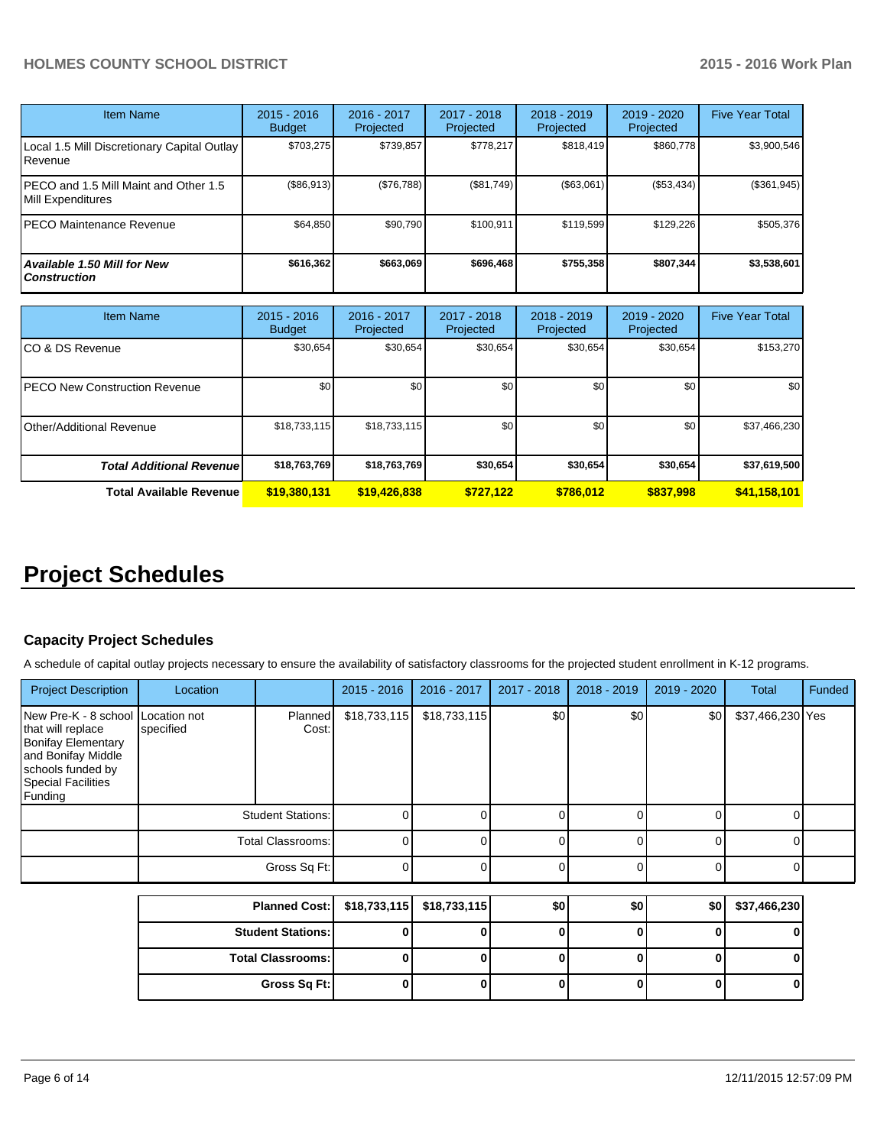# **HOLMES COUNTY SCHOOL DISTRICT 2015 - 2016 Work Plan**

| <b>Item Name</b>                                           | $2015 - 2016$<br><b>Budget</b> | $2016 - 2017$<br>Projected | $2017 - 2018$<br>Projected | $2018 - 2019$<br>Projected | $2019 - 2020$<br>Projected | <b>Five Year Total</b> |
|------------------------------------------------------------|--------------------------------|----------------------------|----------------------------|----------------------------|----------------------------|------------------------|
| Local 1.5 Mill Discretionary Capital Outlay<br>Revenue     | \$703.275                      | \$739,857                  | \$778.217                  | \$818,419                  | \$860.778                  | \$3,900,546            |
| PECO and 1.5 Mill Maint and Other 1.5<br>Mill Expenditures | (\$86,913)                     | (\$76,788)                 | (S81.749)                  | (\$63,061)                 | (\$53,434)                 | (\$361,945)            |
| IPECO Maintenance Revenue                                  | \$64.850                       | \$90.790                   | \$100,911                  | \$119.599                  | \$129,226                  | \$505,376              |
| Available 1.50 Mill for New<br><b>Construction</b>         | \$616,362                      | \$663,069                  | \$696.468                  | \$755,358                  | \$807,344                  | \$3,538,601            |

| <b>Item Name</b>                     | $2015 - 2016$<br><b>Budget</b> | 2016 - 2017<br>Projected | 2017 - 2018<br>Projected | $2018 - 2019$<br>Projected | 2019 - 2020<br>Projected | <b>Five Year Total</b> |
|--------------------------------------|--------------------------------|--------------------------|--------------------------|----------------------------|--------------------------|------------------------|
| CO & DS Revenue                      | \$30,654                       | \$30,654                 | \$30,654                 | \$30,654                   | \$30,654                 | \$153,270              |
| <b>PECO New Construction Revenue</b> | \$0                            | \$0                      | \$0                      | \$0                        | \$0                      | \$0                    |
| Other/Additional Revenue             | \$18,733,115                   | \$18,733,115             | \$0                      | \$0                        | \$0 <sub>1</sub>         | \$37,466,230           |
| <b>Total Additional Revenuel</b>     | \$18,763,769                   | \$18,763,769             | \$30,654                 | \$30,654                   | \$30,654                 | \$37,619,500           |
| <b>Total Available Revenue</b>       | \$19,380,131                   | \$19,426,838             | \$727,122                | \$786.012                  | \$837,998                | \$41,158,101           |

# **Project Schedules**

# **Capacity Project Schedules**

A schedule of capital outlay projects necessary to ensure the availability of satisfactory classrooms for the projected student enrollment in K-12 programs.

| <b>Project Description</b>                                                                                                                                             | Location                 |                      | $2015 - 2016$  | 2016 - 2017  | 2017 - 2018 | $2018 - 2019$ | 2019 - 2020 | Total            | Funded |
|------------------------------------------------------------------------------------------------------------------------------------------------------------------------|--------------------------|----------------------|----------------|--------------|-------------|---------------|-------------|------------------|--------|
| New Pre-K - 8 school Location not<br>that will replace<br><b>Bonifay Elementary</b><br>and Bonifay Middle<br>schools funded by<br><b>Special Facilities</b><br>Funding | specified                | Planned<br>Cost:     | \$18,733,115   | \$18,733,115 | \$0         | \$0           | \$0         | \$37,466,230 Yes |        |
|                                                                                                                                                                        | <b>Student Stations:</b> |                      |                |              |             |               |             |                  |        |
|                                                                                                                                                                        | Total Classrooms:        |                      | $\overline{0}$ |              |             |               |             |                  |        |
|                                                                                                                                                                        | Gross Sq Ft:             |                      |                |              |             |               |             |                  |        |
|                                                                                                                                                                        |                          | <b>Planned Cost:</b> | \$18,733,115   | \$18,733,115 | \$0         | \$0           | \$0         | \$37,466,230     |        |

| Planned Cost:   \$18,733,115   \$18,733,115 |  | \$0 | \$0 | \$0 | \$37,466,230 |
|---------------------------------------------|--|-----|-----|-----|--------------|
| <b>Student Stations: I</b>                  |  |     |     |     |              |
| <b>Total Classrooms:</b>                    |  |     |     |     |              |
| Gross Sq Ft:                                |  |     |     |     |              |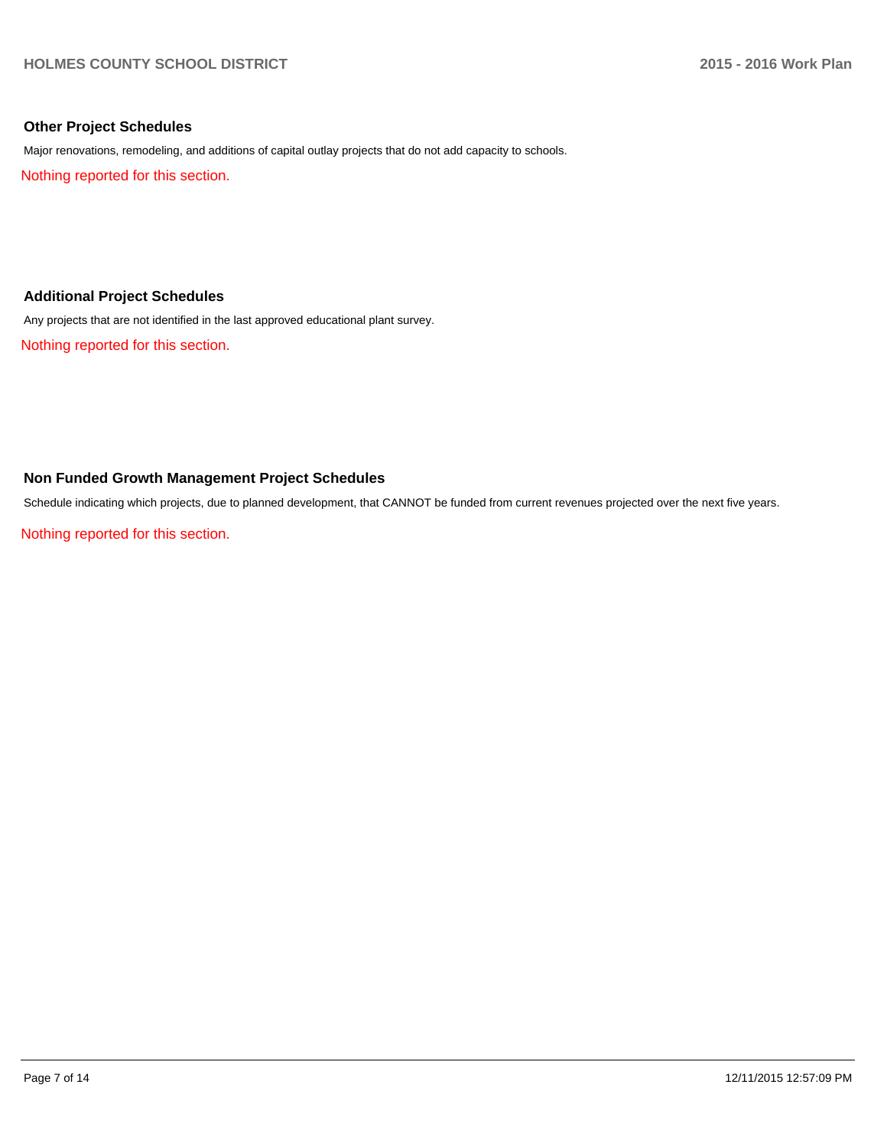# **Other Project Schedules**

Major renovations, remodeling, and additions of capital outlay projects that do not add capacity to schools.

Nothing reported for this section.

# **Additional Project Schedules**

Any projects that are not identified in the last approved educational plant survey.

Nothing reported for this section.

## **Non Funded Growth Management Project Schedules**

Schedule indicating which projects, due to planned development, that CANNOT be funded from current revenues projected over the next five years.

Nothing reported for this section.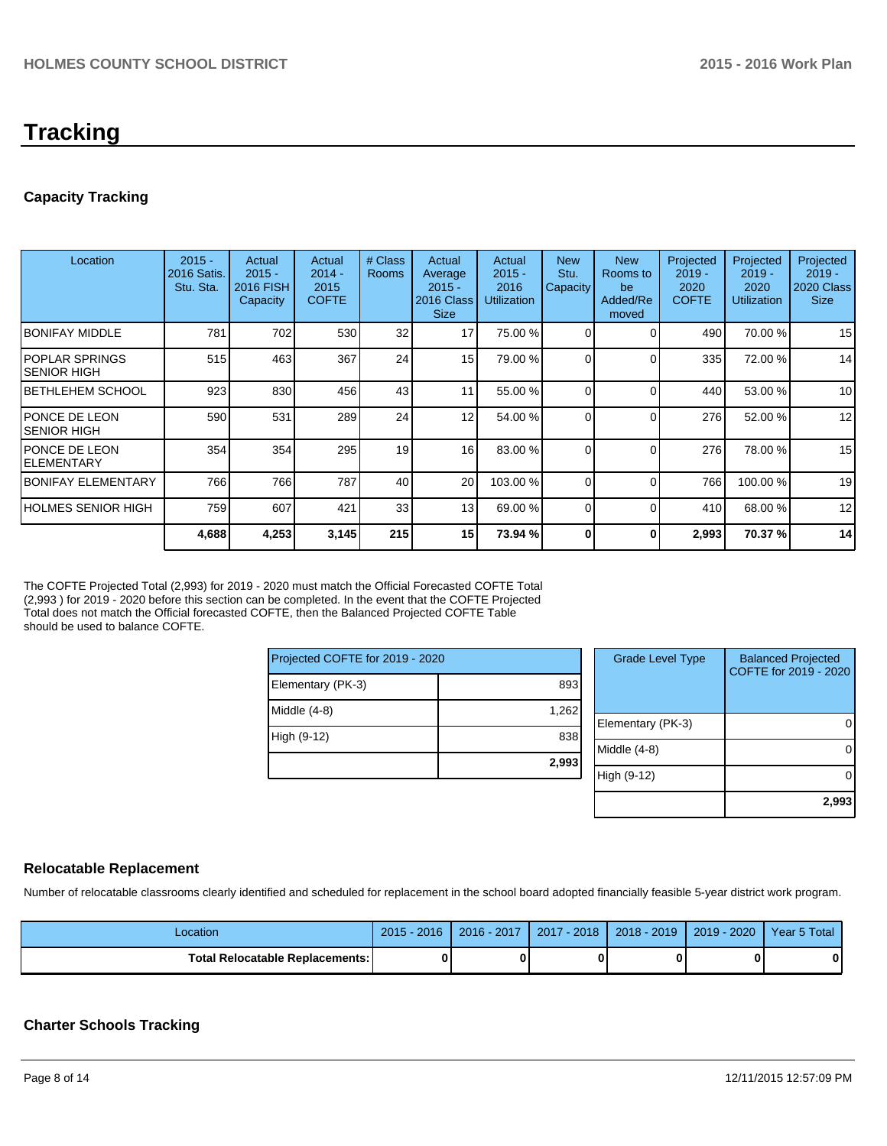# **Tracking**

# **Capacity Tracking**

| Location                              | $2015 -$<br>2016 Satis.<br>Stu. Sta. | Actual<br>$2015 -$<br>2016 FISH<br>Capacity | Actual<br>$2014 -$<br>2015<br><b>COFTE</b> | # Class<br><b>Rooms</b> | Actual<br>Average<br>$2015 -$<br>2016 Class<br><b>Size</b> | Actual<br>$2015 -$<br>2016<br><b>Utilization</b> | <b>New</b><br>Stu.<br>Capacity | <b>New</b><br>Rooms to<br>be<br>Added/Re<br>moved | Projected<br>$2019 -$<br>2020<br><b>COFTE</b> | Projected<br>$2019 -$<br>2020<br><b>Utilization</b> | Projected<br>$2019 -$<br><b>2020 Class</b><br><b>Size</b> |
|---------------------------------------|--------------------------------------|---------------------------------------------|--------------------------------------------|-------------------------|------------------------------------------------------------|--------------------------------------------------|--------------------------------|---------------------------------------------------|-----------------------------------------------|-----------------------------------------------------|-----------------------------------------------------------|
| IBONIFAY MIDDLE                       | 781                                  | 702                                         | 530                                        | 32                      | 17                                                         | 75.00 %                                          |                                |                                                   | 490                                           | 70.00 %                                             | 15                                                        |
| IPOPLAR SPRINGS<br>ISENIOR HIGH       | 515                                  | 463                                         | 367                                        | 24                      | 15 <sup>1</sup>                                            | 79.00 %                                          | $\Omega$                       |                                                   | 335                                           | 72.00 %                                             | 14                                                        |
| IBETHLEHEM SCHOOL                     | 923                                  | 830                                         | 456                                        | 43                      | 11                                                         | 55.00 %                                          | 0                              |                                                   | 440                                           | 53.00 %                                             | 10                                                        |
| <b>IPONCE DE LEON</b><br>ISENIOR HIGH | 590                                  | 531                                         | 289                                        | 24                      | 12                                                         | 54.00 %                                          | $\Omega$                       |                                                   | 276                                           | 52.00 %                                             | 12                                                        |
| <b>IPONCE DE LEON</b><br>IELEMENTARY  | 354                                  | 354                                         | 295                                        | 19                      | 16                                                         | 83.00 %                                          | $\Omega$                       |                                                   | 276                                           | 78.00 %                                             | 15                                                        |
| IBONIFAY ELEMENTARY                   | 766                                  | 766                                         | 787                                        | 40                      | 20 <sup>1</sup>                                            | 103.00 %                                         | $\Omega$                       |                                                   | 766                                           | 100.00%                                             | 19                                                        |
| <b>HOLMES SENIOR HIGH</b>             | 759                                  | 607                                         | 421                                        | 33                      | 13                                                         | 69.00 %                                          | $\Omega$                       | ſ                                                 | 410                                           | 68.00 %                                             | 12                                                        |
|                                       | 4,688                                | 4,253                                       | 3,145                                      | 215                     | 15                                                         | 73.94 %                                          | O                              | 0                                                 | 2,993                                         | 70.37 %                                             | 14                                                        |

The COFTE Projected Total (2,993) for 2019 - 2020 must match the Official Forecasted COFTE Total (2,993 ) for 2019 - 2020 before this section can be completed. In the event that the COFTE Projected Total does not match the Official forecasted COFTE, then the Balanced Projected COFTE Table should be used to balance COFTE.

| Projected COFTE for 2019 - 2020 |       |  |  |  |  |
|---------------------------------|-------|--|--|--|--|
| Elementary (PK-3)               | 893   |  |  |  |  |
| Middle $(4-8)$                  | 1,262 |  |  |  |  |
| High (9-12)                     | 838   |  |  |  |  |
|                                 | 2,993 |  |  |  |  |

| <b>Grade Level Type</b> | <b>Balanced Projected</b><br>COFTE for 2019 - 2020 |
|-------------------------|----------------------------------------------------|
| Elementary (PK-3)       |                                                    |
| Middle (4-8)            |                                                    |
| High (9-12)             |                                                    |
|                         | 2,99                                               |

# **Relocatable Replacement**

Number of relocatable classrooms clearly identified and scheduled for replacement in the school board adopted financially feasible 5-year district work program.

| Location                               | 2016<br>$2015 -$ | 2016 - 2017 | 2017 - 2018 | $2018 - 2019$ | 2019 - 2020 | Year 5 Total |
|----------------------------------------|------------------|-------------|-------------|---------------|-------------|--------------|
| <b>Total Relocatable Replacements:</b> | 0                |             | 0           |               |             |              |

# **Charter Schools Tracking**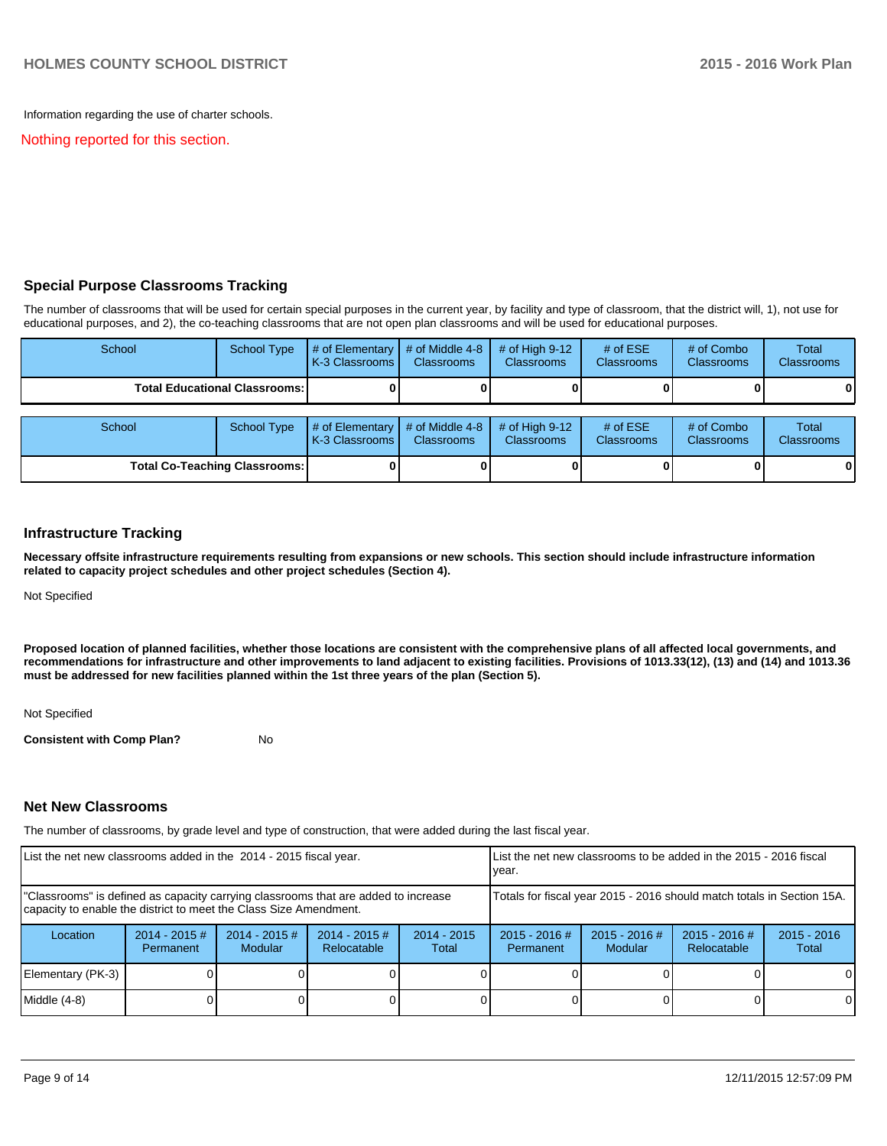Information regarding the use of charter schools.

Nothing reported for this section.

# **Special Purpose Classrooms Tracking**

The number of classrooms that will be used for certain special purposes in the current year, by facility and type of classroom, that the district will, 1), not use for educational purposes, and 2), the co-teaching classrooms that are not open plan classrooms and will be used for educational purposes.

| School                               | <b>School Type</b>                   | # of Elementary $\vert$ # of Middle 4-8<br>K-3 Classrooms I               | <b>Classrooms</b> | $#$ of High 9-12<br><b>Classrooms</b> | # of $ESE$<br><b>Classrooms</b> | # of Combo<br><b>Classrooms</b> | Total<br><b>Classrooms</b> |
|--------------------------------------|--------------------------------------|---------------------------------------------------------------------------|-------------------|---------------------------------------|---------------------------------|---------------------------------|----------------------------|
|                                      | <b>Total Educational Classrooms:</b> |                                                                           |                   |                                       |                                 |                                 | 01                         |
| School                               | <b>School Type</b>                   | $\frac{4}{1}$ of Elementary $\frac{4}{1}$ of Middle 4-8<br>K-3 Classrooms | <b>Classrooms</b> | # of High $9-12$<br><b>Classrooms</b> | # of $ESE$<br><b>Classrooms</b> | # of Combo<br><b>Classrooms</b> | Total<br><b>Classrooms</b> |
| <b>Total Co-Teaching Classrooms:</b> |                                      |                                                                           |                   |                                       |                                 |                                 | 01                         |

### **Infrastructure Tracking**

**Necessary offsite infrastructure requirements resulting from expansions or new schools. This section should include infrastructure information related to capacity project schedules and other project schedules (Section 4).**

Not Specified

**Proposed location of planned facilities, whether those locations are consistent with the comprehensive plans of all affected local governments, and recommendations for infrastructure and other improvements to land adjacent to existing facilities. Provisions of 1013.33(12), (13) and (14) and 1013.36 must be addressed for new facilities planned within the 1st three years of the plan (Section 5).**

Not Specified

**Consistent with Comp Plan?** No

## **Net New Classrooms**

The number of classrooms, by grade level and type of construction, that were added during the last fiscal year.

| List the net new classrooms added in the 2014 - 2015 fiscal year.                                                                                       |                              |                                   | List the net new classrooms to be added in the 2015 - 2016 fiscal<br>lvear. |                        |                                                                        |                            |                                |                        |
|---------------------------------------------------------------------------------------------------------------------------------------------------------|------------------------------|-----------------------------------|-----------------------------------------------------------------------------|------------------------|------------------------------------------------------------------------|----------------------------|--------------------------------|------------------------|
| "Classrooms" is defined as capacity carrying classrooms that are added to increase<br>capacity to enable the district to meet the Class Size Amendment. |                              |                                   |                                                                             |                        | Totals for fiscal year 2015 - 2016 should match totals in Section 15A. |                            |                                |                        |
| Location                                                                                                                                                | $2014 - 2015$ #<br>Permanent | $2014 - 2015$ #<br><b>Modular</b> | $2014 - 2015$ #<br>Relocatable                                              | $2014 - 2015$<br>Total | $2015 - 2016$ #<br>Permanent                                           | $2015 - 2016$ #<br>Modular | $2015 - 2016$ #<br>Relocatable | $2015 - 2016$<br>Total |
| Elementary (PK-3)                                                                                                                                       |                              |                                   |                                                                             |                        |                                                                        |                            |                                | $\Omega$               |
| Middle (4-8)                                                                                                                                            |                              |                                   |                                                                             |                        |                                                                        |                            |                                | $\Omega$               |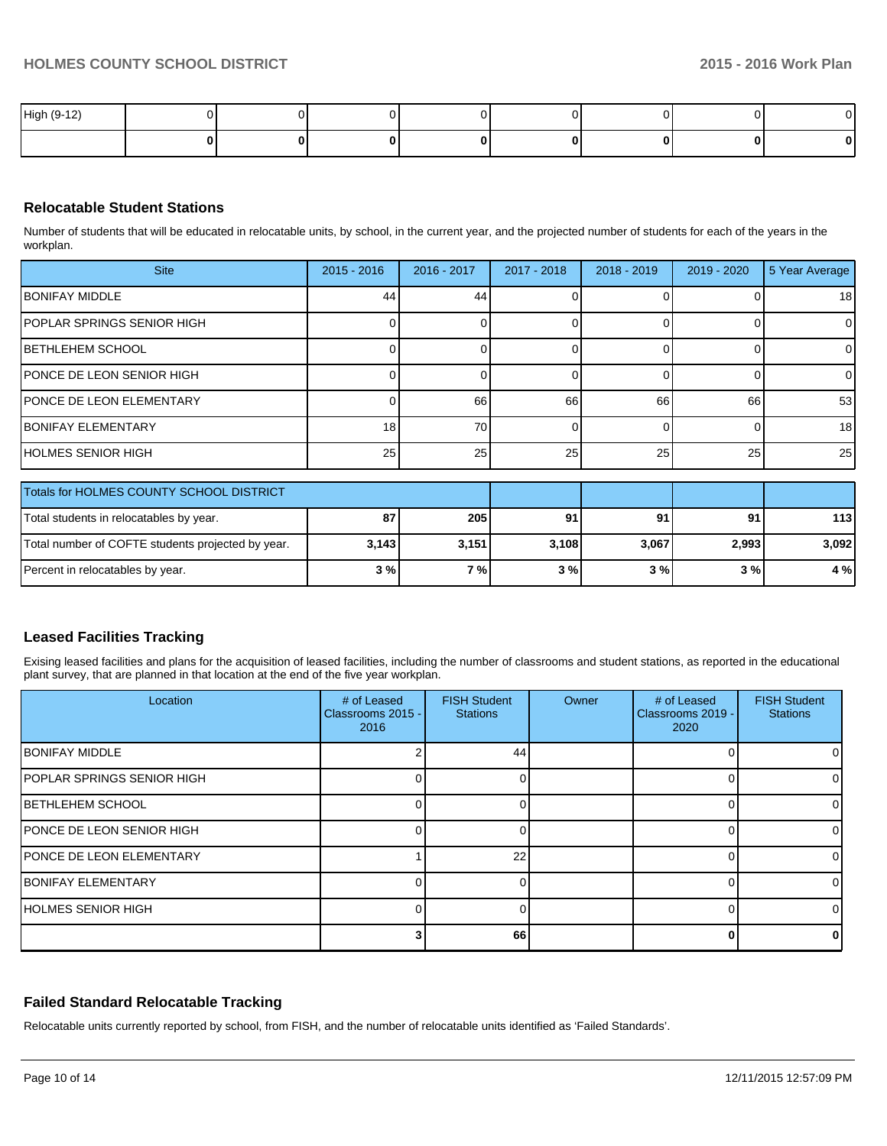| High (9-1<br>$\overline{A}$<br>$\overline{\phantom{a}}$ |  |  |  |  |
|---------------------------------------------------------|--|--|--|--|
|                                                         |  |  |  |  |

# **Relocatable Student Stations**

Number of students that will be educated in relocatable units, by school, in the current year, and the projected number of students for each of the years in the workplan.

| <b>Site</b>                                       | $2015 - 2016$ | 2016 - 2017 | 2017 - 2018 | $2018 - 2019$ | $2019 - 2020$ | 5 Year Average |
|---------------------------------------------------|---------------|-------------|-------------|---------------|---------------|----------------|
| <b>BONIFAY MIDDLE</b>                             | 44            | 44          |             |               |               | 18             |
| IPOPLAR SPRINGS SENIOR HIGH                       |               |             |             | $\Omega$      |               | $\Omega$       |
| <b>BETHLEHEM SCHOOL</b>                           |               |             |             | $\Omega$      | n             | $\overline{0}$ |
| <b>PONCE DE LEON SENIOR HIGH</b>                  |               |             |             | $\Omega$      | n             | $\overline{0}$ |
| <b>PONCE DE LEON ELEMENTARY</b>                   |               | 66          | 66          | 66            | 66            | 53             |
| <b>IBONIFAY ELEMENTARY</b>                        | 18            | 70          |             | $\Omega$      | r             | 18             |
| IHOLMES SENIOR HIGH                               | 25            | 25          | 25          | 25            | 25            | 25             |
| Totals for HOLMES COUNTY SCHOOL DISTRICT          |               |             |             |               |               |                |
| Total students in relocatables by year.           | 87            | 205         | 91          | 91            | 91            | 113            |
| Total number of COFTE students projected by year. | 3,143         | 3,151       | 3,108       | 3,067         | 2,993         | 3,092          |
| Percent in relocatables by year.                  | 3%            | 7%          | 3%          | 3%            | 3%            | 4 %            |

## **Leased Facilities Tracking**

Exising leased facilities and plans for the acquisition of leased facilities, including the number of classrooms and student stations, as reported in the educational plant survey, that are planned in that location at the end of the five year workplan.

| Location                          | # of Leased<br>Classrooms 2015 -<br>2016 | <b>FISH Student</b><br><b>Stations</b> | Owner | # of Leased<br>Classrooms 2019 -<br>2020 | <b>FISH Student</b><br><b>Stations</b> |
|-----------------------------------|------------------------------------------|----------------------------------------|-------|------------------------------------------|----------------------------------------|
| <b>BONIFAY MIDDLE</b>             |                                          | 44                                     |       |                                          |                                        |
| <b>POPLAR SPRINGS SENIOR HIGH</b> |                                          |                                        |       |                                          |                                        |
| <b>BETHLEHEM SCHOOL</b>           |                                          |                                        |       |                                          |                                        |
| <b>IPONCE DE LEON SENIOR HIGH</b> |                                          |                                        |       |                                          |                                        |
| <b>PONCE DE LEON ELEMENTARY</b>   |                                          | 22                                     |       |                                          |                                        |
| <b>BONIFAY ELEMENTARY</b>         |                                          |                                        |       |                                          |                                        |
| <b>HOLMES SENIOR HIGH</b>         |                                          |                                        |       |                                          |                                        |
|                                   |                                          | 66                                     |       |                                          |                                        |

## **Failed Standard Relocatable Tracking**

Relocatable units currently reported by school, from FISH, and the number of relocatable units identified as 'Failed Standards'.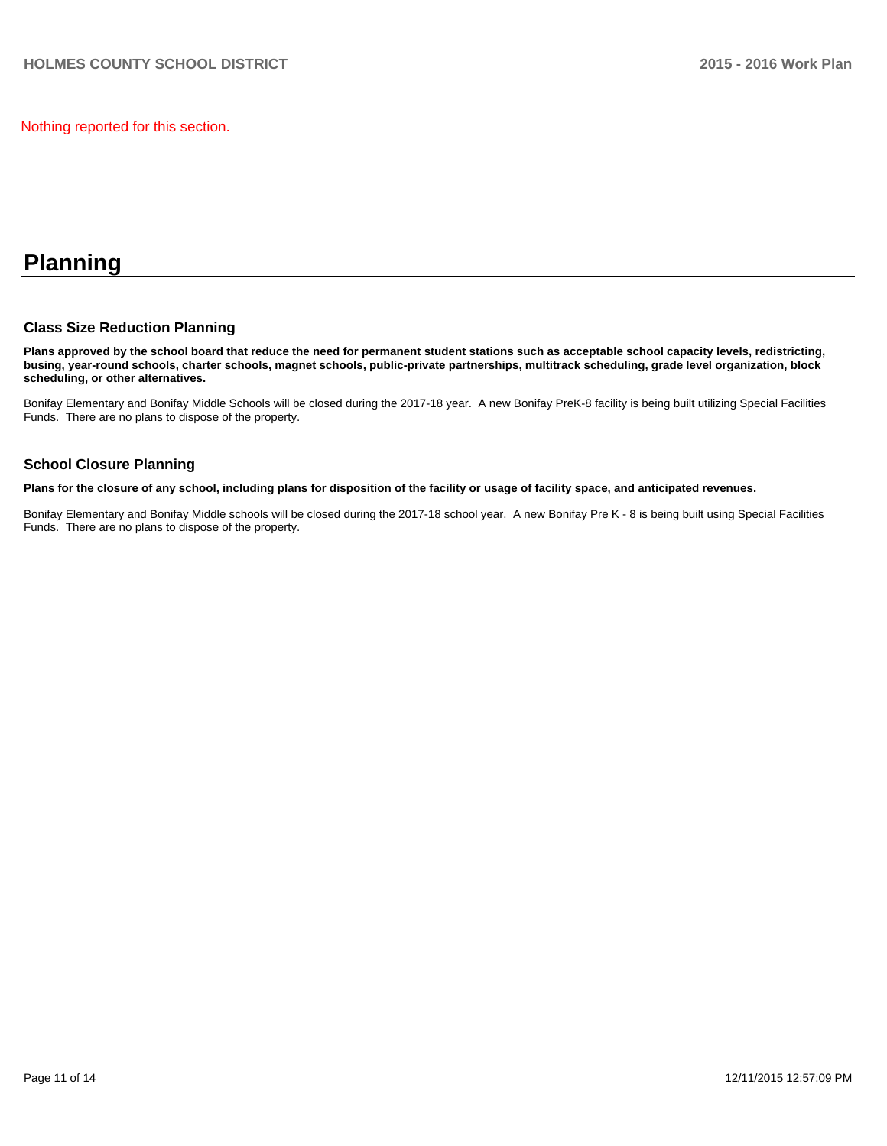Nothing reported for this section.

# **Planning**

## **Class Size Reduction Planning**

**Plans approved by the school board that reduce the need for permanent student stations such as acceptable school capacity levels, redistricting, busing, year-round schools, charter schools, magnet schools, public-private partnerships, multitrack scheduling, grade level organization, block scheduling, or other alternatives.**

Bonifay Elementary and Bonifay Middle Schools will be closed during the 2017-18 year. A new Bonifay PreK-8 facility is being built utilizing Special Facilities Funds. There are no plans to dispose of the property.

## **School Closure Planning**

**Plans for the closure of any school, including plans for disposition of the facility or usage of facility space, and anticipated revenues.**

Bonifay Elementary and Bonifay Middle schools will be closed during the 2017-18 school year. A new Bonifay Pre K - 8 is being built using Special Facilities Funds. There are no plans to dispose of the property.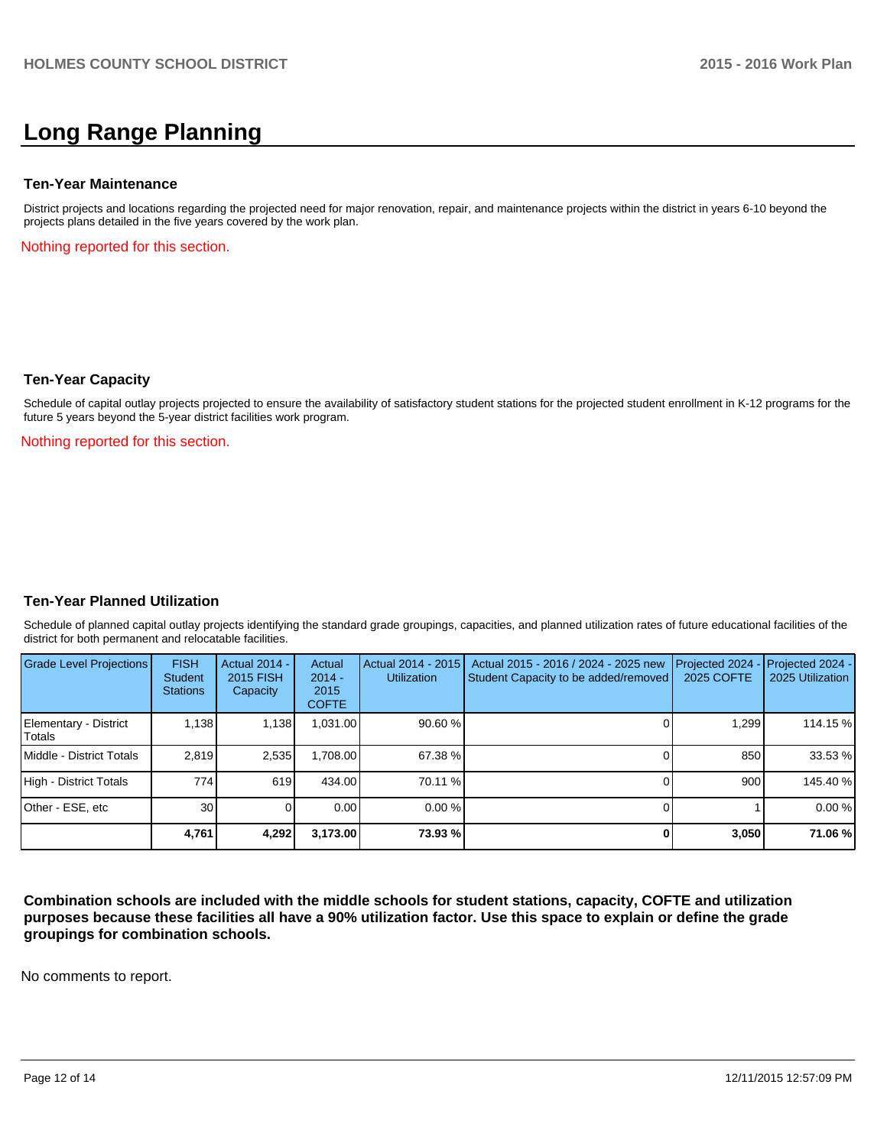# **Long Range Planning**

#### **Ten-Year Maintenance**

District projects and locations regarding the projected need for major renovation, repair, and maintenance projects within the district in years 6-10 beyond the projects plans detailed in the five years covered by the work plan.

Nothing reported for this section.

### **Ten-Year Capacity**

Schedule of capital outlay projects projected to ensure the availability of satisfactory student stations for the projected student enrollment in K-12 programs for the future 5 years beyond the 5-year district facilities work program.

Nothing reported for this section.

## **Ten-Year Planned Utilization**

Schedule of planned capital outlay projects identifying the standard grade groupings, capacities, and planned utilization rates of future educational facilities of the district for both permanent and relocatable facilities.

| <b>Grade Level Projections</b>  | <b>FISH</b><br>Student<br><b>Stations</b> | <b>Actual 2014 -</b><br>2015 FISH<br>Capacity | Actual<br>$2014 -$<br>2015<br><b>COFTE</b> | Actual 2014 - 2015<br><b>Utilization</b> | Actual 2015 - 2016 / 2024 - 2025 new<br>Student Capacity to be added/removed | Projected 2024<br>2025 COFTE | $-$ Projected 2024 -<br>2025 Utilization |
|---------------------------------|-------------------------------------------|-----------------------------------------------|--------------------------------------------|------------------------------------------|------------------------------------------------------------------------------|------------------------------|------------------------------------------|
| Elementary - District<br>Totals | 1.138                                     | 1,138                                         | 0.031.00                                   | 90.60%                                   |                                                                              | 1.299                        | 114.15 %                                 |
| Middle - District Totals        | 2.819                                     | 2,535                                         | ا 708.00.⊦                                 | 67.38 %                                  |                                                                              | 850                          | 33.53 %                                  |
| High - District Totals          | 774                                       | 619                                           | 434.00                                     | 70.11 %                                  |                                                                              | 900                          | 145.40 %                                 |
| Other - ESE, etc                | 30 <sup>1</sup>                           |                                               | 0.00                                       | $0.00\%$                                 |                                                                              |                              | 0.00%                                    |
|                                 | 4,761                                     | 4,292                                         | 3,173.00                                   | 73.93 %                                  |                                                                              | 3,050                        | 71.06 %                                  |

**Combination schools are included with the middle schools for student stations, capacity, COFTE and utilization purposes because these facilities all have a 90% utilization factor. Use this space to explain or define the grade groupings for combination schools.**

No comments to report.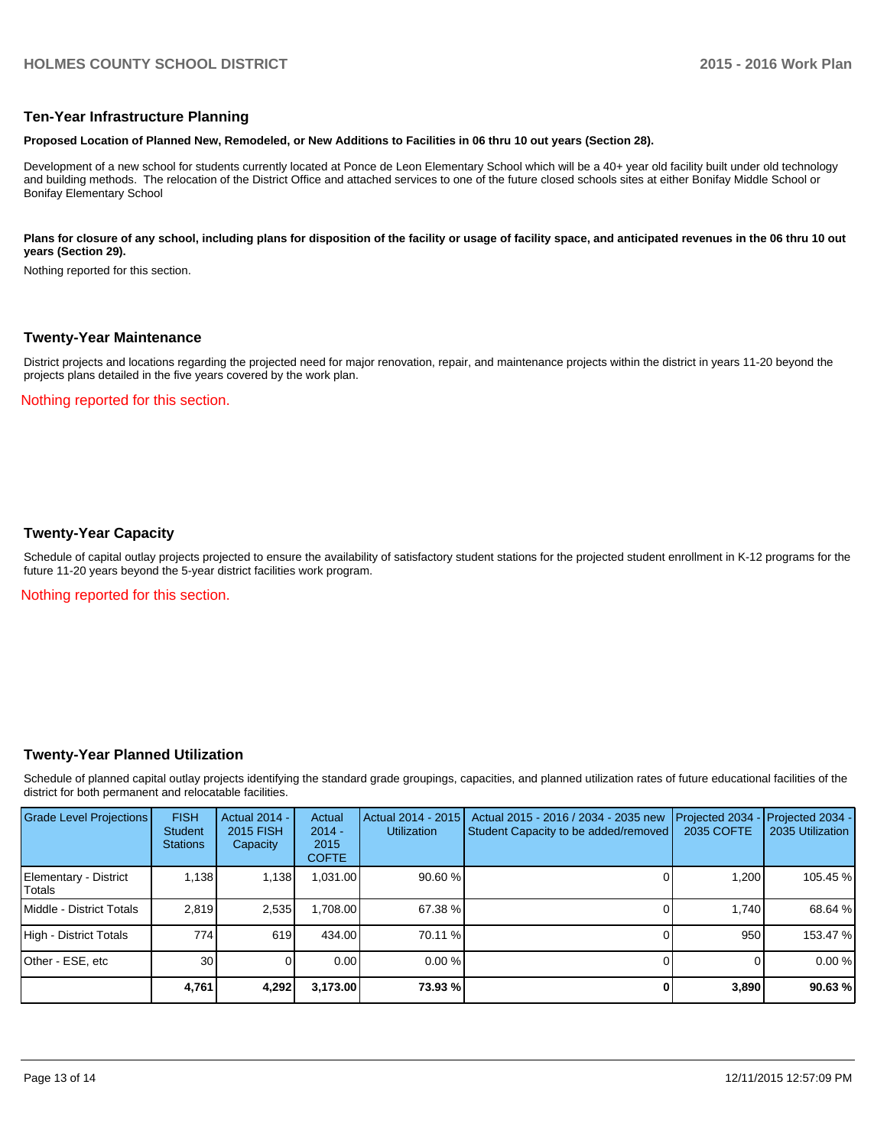### **Ten-Year Infrastructure Planning**

#### **Proposed Location of Planned New, Remodeled, or New Additions to Facilities in 06 thru 10 out years (Section 28).**

Development of a new school for students currently located at Ponce de Leon Elementary School which will be a 40+ year old facility built under old technology and building methods. The relocation of the District Office and attached services to one of the future closed schools sites at either Bonifay Middle School or Bonifay Elementary School

#### Plans for closure of any school, including plans for disposition of the facility or usage of facility space, and anticipated revenues in the 06 thru 10 out **years (Section 29).**

Nothing reported for this section.

#### **Twenty-Year Maintenance**

District projects and locations regarding the projected need for major renovation, repair, and maintenance projects within the district in years 11-20 beyond the projects plans detailed in the five years covered by the work plan.

Nothing reported for this section.

### **Twenty-Year Capacity**

Schedule of capital outlay projects projected to ensure the availability of satisfactory student stations for the projected student enrollment in K-12 programs for the future 11-20 years beyond the 5-year district facilities work program.

Nothing reported for this section.

## **Twenty-Year Planned Utilization**

Schedule of planned capital outlay projects identifying the standard grade groupings, capacities, and planned utilization rates of future educational facilities of the district for both permanent and relocatable facilities.

| <b>Grade Level Projections</b>  | <b>FISH</b><br>Student<br><b>Stations</b> | <b>Actual 2014 -</b><br>2015 FISH<br>Capacity | Actual<br>$2014 -$<br>2015<br><b>COFTE</b> | Actual 2014 - 2015<br><b>Utilization</b> | Actual 2015 - 2016 / 2034 - 2035 new<br>Student Capacity to be added/removed | Projected 2034<br>2035 COFTE | Projected 2034 -<br>2035 Utilization |
|---------------------------------|-------------------------------------------|-----------------------------------------------|--------------------------------------------|------------------------------------------|------------------------------------------------------------------------------|------------------------------|--------------------------------------|
| Elementary - District<br>Totals | 1.138                                     | 1,138                                         | 1,031.00                                   | 90.60%                                   |                                                                              | 1.200                        | 105.45 %                             |
| Middle - District Totals        | 2.819                                     | 2,535                                         | 1,708.00                                   | 67.38 %                                  |                                                                              | 1.740                        | 68.64 %                              |
| High - District Totals          | 774                                       | 619                                           | 434.00                                     | 70.11 %                                  |                                                                              | 950                          | 153.47 %                             |
| Other - ESE, etc                | 30                                        |                                               | 0.00                                       | $0.00\%$                                 |                                                                              |                              | 0.00%                                |
|                                 | 4,761                                     | 4,292                                         | 3,173.00                                   | 73.93 %                                  |                                                                              | 3,890                        | 90.63%                               |